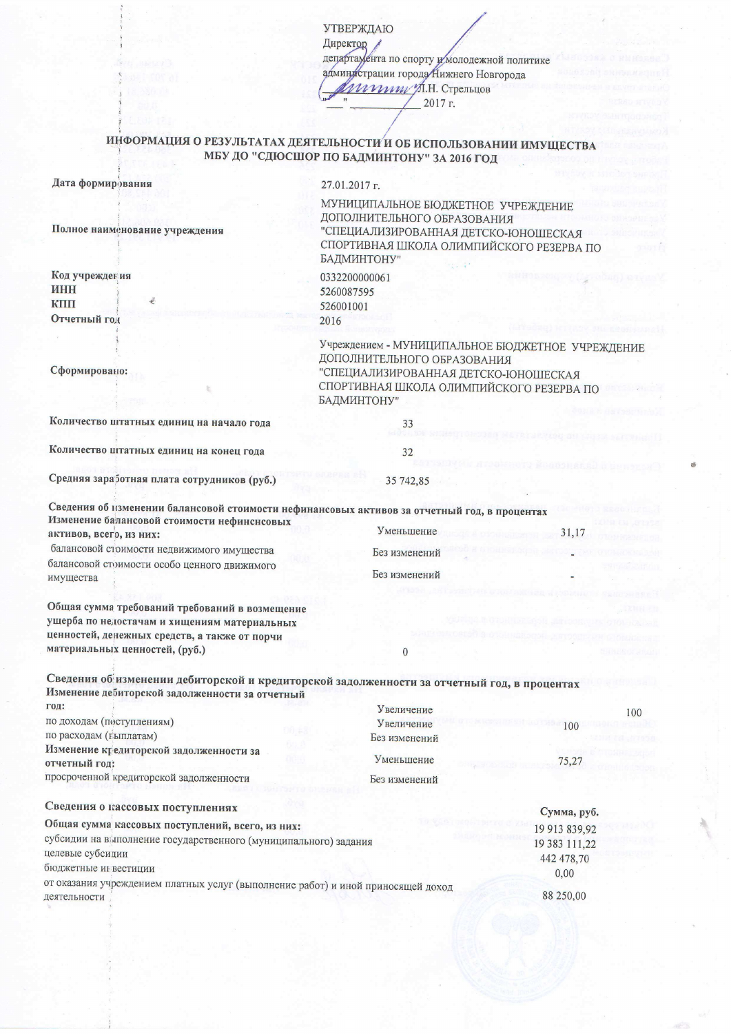**УТВЕРЖДАЮ** Директор департамента по спорту и молодежной политике администрации города Нижнего Новгорода *Игрипу А.Н.* Стрельцов  $2017r$ .

## ИНФОРМАЦИЯ О РЕЗУЛЬТАТАХ ДЕЯТЕЛЬНОСТИ И ОБ ИСПОЛЬЗОВАНИИ ИМУЩЕСТВА МБУ ДО "СДЮСШОР ПО БАДМИНТОНУ" ЗА 2016 ГОД

|  | Дата формирования |
|--|-------------------|
|--|-------------------|

Полное наименование учреждения

## 27.01.2017 г.

МУНИЦИПАЛЬНОЕ БЮДЖЕТНОЕ УЧРЕЖДЕНИЕ ДОПОЛНИТЕЛЬНОГО ОБРАЗОВАНИЯ "СПЕЦИАЛИЗИРОВАННАЯ ДЕТСКО-ЮНОШЕСКАЯ СПОРТИВНАЯ ШКОЛА ОЛИМПИЙСКОГО РЕЗЕРВА ПО БАДМИНТОНУ"

0332200000061 5260087595 526001001 2016

33

 $32$ 

35 742,85

 $\overline{0}$ 

Сформировано:

Код учреждения

Отчетный год

ИНН

КПП

Учреждением - МУНИЦИПАЛЬНОЕ БЮДЖЕТНОЕ УЧРЕЖДЕНИЕ ДОПОЛНИТЕЛЬНОГО ОБРАЗОВАНИЯ "СПЕЦИАЛИЗИРОВАННАЯ ДЕТСКО-ЮНОШЕСКАЯ СПОРТИВНАЯ ШКОЛА ОЛИМПИЙСКОГО РЕЗЕРВА ПО БАДМИНТОНУ"

Количество штатных единиц на начало года

Количество штатных единиц на конец года

Средняя заработная плата сотрудников (руб.)

Сведения об изменении балансовой стоимости нефинансовых активов за отчетный год, в процентах Изменение балансовой стоимости нефинсисовых Уменьшение 31,17 активов, всего, из них:

балансовой стоимости недвижимого имущества Без изменений балансовой стоимости особо ценного движимого Без изменений имущества

Общая сумма требований требований в возмещение ущерба по недостачам и хищениям материальных ценностей, денежных средств, а также от порчи материальных ценностей, (руб.)

Сведения об изменении дебиторской и кредиторской задолженности за отчетный год, в процентах Изменение дебиторской задолженности за отчетный гол:

| $\mathbf{L}$                                                     | У величение   | 100           |
|------------------------------------------------------------------|---------------|---------------|
| по доходам (поступлениям)                                        | Увеличение    | 100           |
| по расходам (гыплатам)                                           | Без изменений |               |
| Изменение кредиторской задолженности за<br>отчетный год:         | Уменьшение    | 75,27         |
| просроченной кредиторской задолженности                          | Без изменений |               |
| Сведения о кассовых поступлениях                                 |               | Сумма, руб.   |
| Общая сумма кассовых поступлений, всего, из них:                 |               | 19 913 839,92 |
| субсидии на выполнение государственного (муниципального) задания | 19 383 111,22 |               |
| целевые субсидии                                                 |               | 442 478,70    |
| бюджетные инвестиции                                             |               | 0.00          |
|                                                                  |               |               |

от оказания учреждением платных услуг (выполнение работ) и иной приносящей доход 88 250,00 деятельности